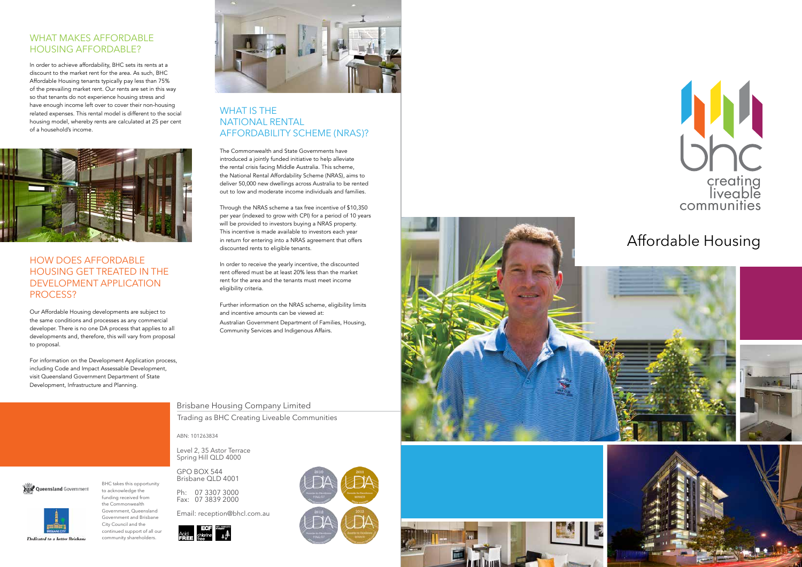# creating liveable communities

BHC takes this opportunity to acknowledge the funding received from the Commonwealth Government, Queensland Government and Brisbane City Council and the continued support of all our community shareholders.



#### WHAT MAKES AFFORDABLE HOUSING AFFORDABLE?

ABN: 101263834

Level 2, 35 Astor Terrace Spring Hill QLD 4000

GPO BOX 544 Brisbane QLD 4001

Ph: 07 3307 3000 Fax: 07 3839 2000

Email: reception@bhcl.com.au





#### Brisbane Housing Company Limited

Trading as BHC Creating Liveable Communities

#### HOW DOES AFFORDABLE HOUSING GET TREATED IN THE DEVELOPMENT APPLICATION PROCESS?

#### WHAT IS THE NATIONAL RENTAL AFFORDABILITY SCHEME (NRAS)?

In order to achieve affordability, BHC sets its rents at a discount to the market rent for the area. As such, BHC Affordable Housing tenants typically pay less than 75% of the prevailing market rent. Our rents are set in this way so that tenants do not experience housing stress and have enough income left over to cover their non-housing related expenses. This rental model is different to the social housing model, whereby rents are calculated at 25 per cent of a household's income.



Our Affordable Housing developments are subject to the same conditions and processes as any commercial developer. There is no one DA process that applies to all developments and, therefore, this will vary from proposal to proposal.

For information on the Development Application process, including Code and Impact Assessable Development, visit Queensland Government Department of State Development, Infrastructure and Planning.

The Commonwealth and State Governments have introduced a jointly funded initiative to help alleviate the rental crisis facing Middle Australia. This scheme, the National Rental Affordability Scheme (NRAS), aims to deliver 50,000 new dwellings across Australia to be rented out to low and moderate income individuals and families.

Through the NRAS scheme a tax free incentive of \$10,350 per year (indexed to grow with CPI) for a period of 10 years will be provided to investors buying a NRAS property. This incentive is made available to investors each year in return for entering into a NRAS agreement that offers discounted rents to eligible tenants.

In order to receive the yearly incentive, the discounted rent offered must be at least 20% less than the market rent for the area and the tenants must meet income eligibility criteria.

Further information on the NRAS scheme, eligibility limits and incentive amounts can be viewed at:

Australian Government Department of Families, Housing, Community Services and Indigenous Affairs.





**XXX** Queensland Government

Dedicated to a better Brisban